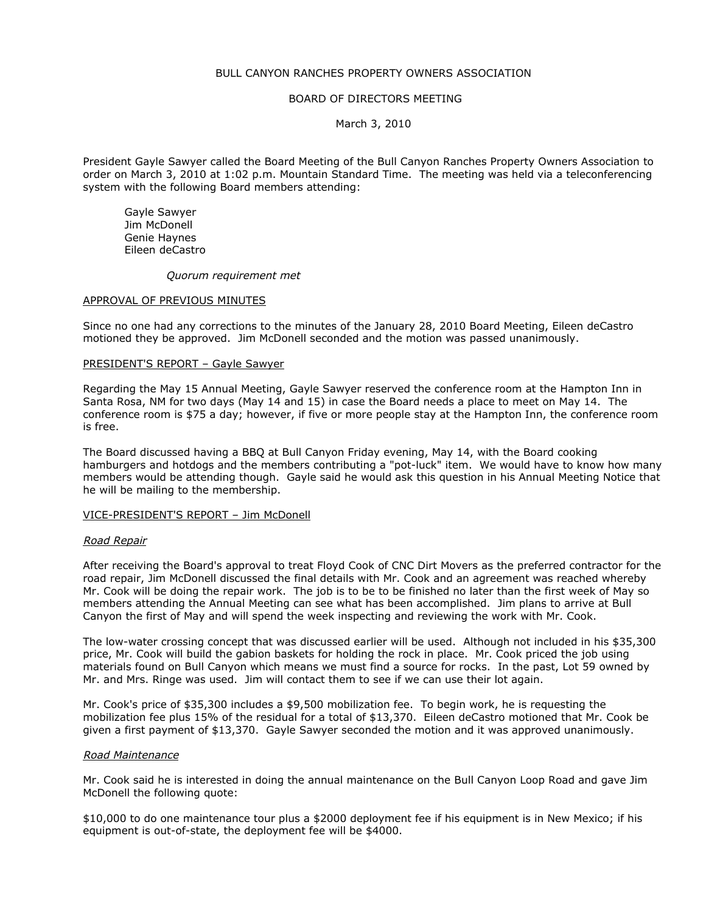# BULL CANYON RANCHES PROPERTY OWNERS ASSOCIATION

## BOARD OF DIRECTORS MEETING

## March 3, 2010

President Gayle Sawyer called the Board Meeting of the Bull Canyon Ranches Property Owners Association to order on March 3, 2010 at 1:02 p.m. Mountain Standard Time. The meeting was held via a teleconferencing system with the following Board members attending:

 Gayle Sawyer Jim McDonell Genie Haynes Eileen deCastro

#### Quorum requirement met

#### APPROVAL OF PREVIOUS MINUTES

Since no one had any corrections to the minutes of the January 28, 2010 Board Meeting, Eileen deCastro motioned they be approved. Jim McDonell seconded and the motion was passed unanimously.

### PRESIDENT'S REPORT – Gayle Sawyer

Regarding the May 15 Annual Meeting, Gayle Sawyer reserved the conference room at the Hampton Inn in Santa Rosa, NM for two days (May 14 and 15) in case the Board needs a place to meet on May 14. The conference room is \$75 a day; however, if five or more people stay at the Hampton Inn, the conference room is free.

The Board discussed having a BBQ at Bull Canyon Friday evening, May 14, with the Board cooking hamburgers and hotdogs and the members contributing a "pot-luck" item. We would have to know how many members would be attending though. Gayle said he would ask this question in his Annual Meeting Notice that he will be mailing to the membership.

### VICE-PRESIDENT'S REPORT – Jim McDonell

### Road Repair

After receiving the Board's approval to treat Floyd Cook of CNC Dirt Movers as the preferred contractor for the road repair, Jim McDonell discussed the final details with Mr. Cook and an agreement was reached whereby Mr. Cook will be doing the repair work. The job is to be to be finished no later than the first week of May so members attending the Annual Meeting can see what has been accomplished. Jim plans to arrive at Bull Canyon the first of May and will spend the week inspecting and reviewing the work with Mr. Cook.

The low-water crossing concept that was discussed earlier will be used. Although not included in his \$35,300 price, Mr. Cook will build the gabion baskets for holding the rock in place. Mr. Cook priced the job using materials found on Bull Canyon which means we must find a source for rocks. In the past, Lot 59 owned by Mr. and Mrs. Ringe was used. Jim will contact them to see if we can use their lot again.

Mr. Cook's price of \$35,300 includes a \$9,500 mobilization fee. To begin work, he is requesting the mobilization fee plus 15% of the residual for a total of \$13,370. Eileen deCastro motioned that Mr. Cook be given a first payment of \$13,370. Gayle Sawyer seconded the motion and it was approved unanimously.

### Road Maintenance

Mr. Cook said he is interested in doing the annual maintenance on the Bull Canyon Loop Road and gave Jim McDonell the following quote:

\$10,000 to do one maintenance tour plus a \$2000 deployment fee if his equipment is in New Mexico; if his equipment is out-of-state, the deployment fee will be \$4000.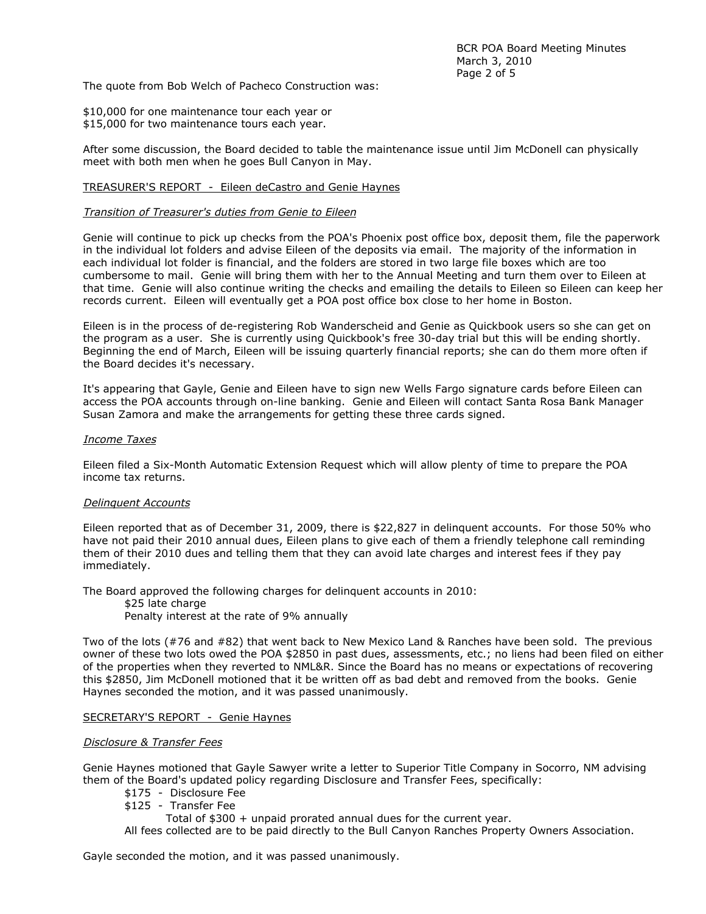The quote from Bob Welch of Pacheco Construction was:

\$10,000 for one maintenance tour each year or \$15,000 for two maintenance tours each year.

After some discussion, the Board decided to table the maintenance issue until Jim McDonell can physically meet with both men when he goes Bull Canyon in May.

# TREASURER'S REPORT - Eileen deCastro and Genie Haynes

# Transition of Treasurer's duties from Genie to Eileen

Genie will continue to pick up checks from the POA's Phoenix post office box, deposit them, file the paperwork in the individual lot folders and advise Eileen of the deposits via email. The majority of the information in each individual lot folder is financial, and the folders are stored in two large file boxes which are too cumbersome to mail. Genie will bring them with her to the Annual Meeting and turn them over to Eileen at that time. Genie will also continue writing the checks and emailing the details to Eileen so Eileen can keep her records current. Eileen will eventually get a POA post office box close to her home in Boston.

Eileen is in the process of de-registering Rob Wanderscheid and Genie as Quickbook users so she can get on the program as a user. She is currently using Quickbook's free 30-day trial but this will be ending shortly. Beginning the end of March, Eileen will be issuing quarterly financial reports; she can do them more often if the Board decides it's necessary.

It's appearing that Gayle, Genie and Eileen have to sign new Wells Fargo signature cards before Eileen can access the POA accounts through on-line banking. Genie and Eileen will contact Santa Rosa Bank Manager Susan Zamora and make the arrangements for getting these three cards signed.

### Income Taxes

Eileen filed a Six-Month Automatic Extension Request which will allow plenty of time to prepare the POA income tax returns.

### Delinquent Accounts

Eileen reported that as of December 31, 2009, there is \$22,827 in delinquent accounts. For those 50% who have not paid their 2010 annual dues, Eileen plans to give each of them a friendly telephone call reminding them of their 2010 dues and telling them that they can avoid late charges and interest fees if they pay immediately.

The Board approved the following charges for delinquent accounts in 2010: \$25 late charge Penalty interest at the rate of 9% annually

Two of the lots (#76 and #82) that went back to New Mexico Land & Ranches have been sold. The previous owner of these two lots owed the POA \$2850 in past dues, assessments, etc.; no liens had been filed on either of the properties when they reverted to NML&R. Since the Board has no means or expectations of recovering this \$2850, Jim McDonell motioned that it be written off as bad debt and removed from the books. Genie Haynes seconded the motion, and it was passed unanimously.

## SECRETARY'S REPORT - Genie Haynes

### Disclosure & Transfer Fees

Genie Haynes motioned that Gayle Sawyer write a letter to Superior Title Company in Socorro, NM advising them of the Board's updated policy regarding Disclosure and Transfer Fees, specifically:

- \$175 Disclosure Fee
- \$125 Transfer Fee

Total of \$300 + unpaid prorated annual dues for the current year.

All fees collected are to be paid directly to the Bull Canyon Ranches Property Owners Association.

Gayle seconded the motion, and it was passed unanimously.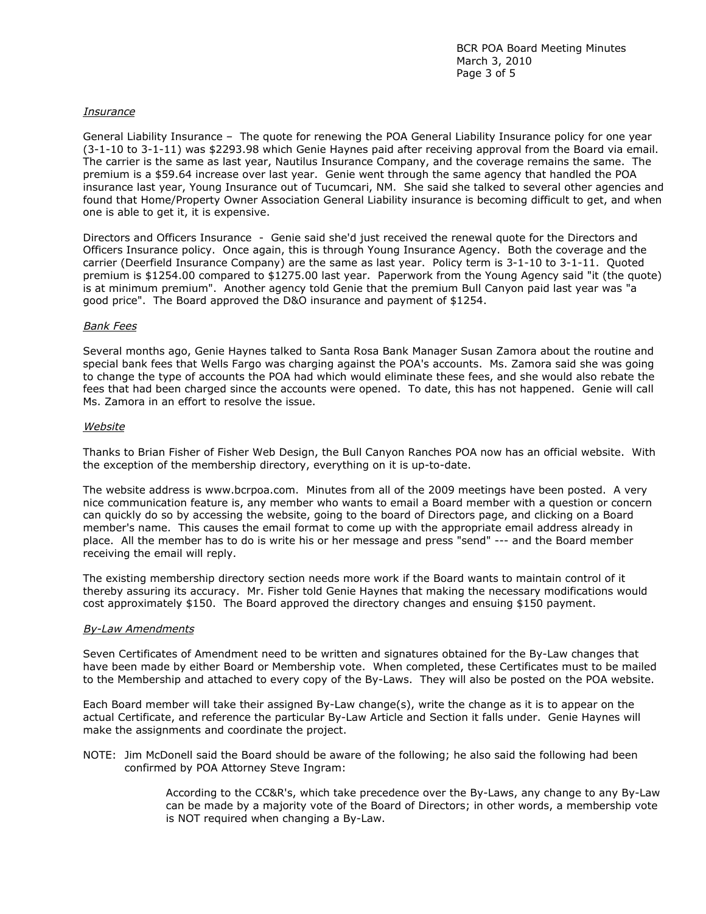# Insurance

General Liability Insurance – The quote for renewing the POA General Liability Insurance policy for one year (3-1-10 to 3-1-11) was \$2293.98 which Genie Haynes paid after receiving approval from the Board via email. The carrier is the same as last year, Nautilus Insurance Company, and the coverage remains the same. The premium is a \$59.64 increase over last year. Genie went through the same agency that handled the POA insurance last year, Young Insurance out of Tucumcari, NM. She said she talked to several other agencies and found that Home/Property Owner Association General Liability insurance is becoming difficult to get, and when one is able to get it, it is expensive.

Directors and Officers Insurance - Genie said she'd just received the renewal quote for the Directors and Officers Insurance policy. Once again, this is through Young Insurance Agency. Both the coverage and the carrier (Deerfield Insurance Company) are the same as last year. Policy term is 3-1-10 to 3-1-11. Quoted premium is \$1254.00 compared to \$1275.00 last year. Paperwork from the Young Agency said "it (the quote) is at minimum premium". Another agency told Genie that the premium Bull Canyon paid last year was "a good price". The Board approved the D&O insurance and payment of \$1254.

### Bank Fees

Several months ago, Genie Haynes talked to Santa Rosa Bank Manager Susan Zamora about the routine and special bank fees that Wells Fargo was charging against the POA's accounts. Ms. Zamora said she was going to change the type of accounts the POA had which would eliminate these fees, and she would also rebate the fees that had been charged since the accounts were opened. To date, this has not happened. Genie will call Ms. Zamora in an effort to resolve the issue.

### Website

Thanks to Brian Fisher of Fisher Web Design, the Bull Canyon Ranches POA now has an official website. With the exception of the membership directory, everything on it is up-to-date.

The website address is www.bcrpoa.com. Minutes from all of the 2009 meetings have been posted. A very nice communication feature is, any member who wants to email a Board member with a question or concern can quickly do so by accessing the website, going to the board of Directors page, and clicking on a Board member's name. This causes the email format to come up with the appropriate email address already in place. All the member has to do is write his or her message and press "send" --- and the Board member receiving the email will reply.

The existing membership directory section needs more work if the Board wants to maintain control of it thereby assuring its accuracy. Mr. Fisher told Genie Haynes that making the necessary modifications would cost approximately \$150. The Board approved the directory changes and ensuing \$150 payment.

### By-Law Amendments

Seven Certificates of Amendment need to be written and signatures obtained for the By-Law changes that have been made by either Board or Membership vote. When completed, these Certificates must to be mailed to the Membership and attached to every copy of the By-Laws. They will also be posted on the POA website.

Each Board member will take their assigned By-Law change(s), write the change as it is to appear on the actual Certificate, and reference the particular By-Law Article and Section it falls under. Genie Haynes will make the assignments and coordinate the project.

NOTE: Jim McDonell said the Board should be aware of the following; he also said the following had been confirmed by POA Attorney Steve Ingram:

> According to the CC&R's, which take precedence over the By-Laws, any change to any By-Law can be made by a majority vote of the Board of Directors; in other words, a membership vote is NOT required when changing a By-Law.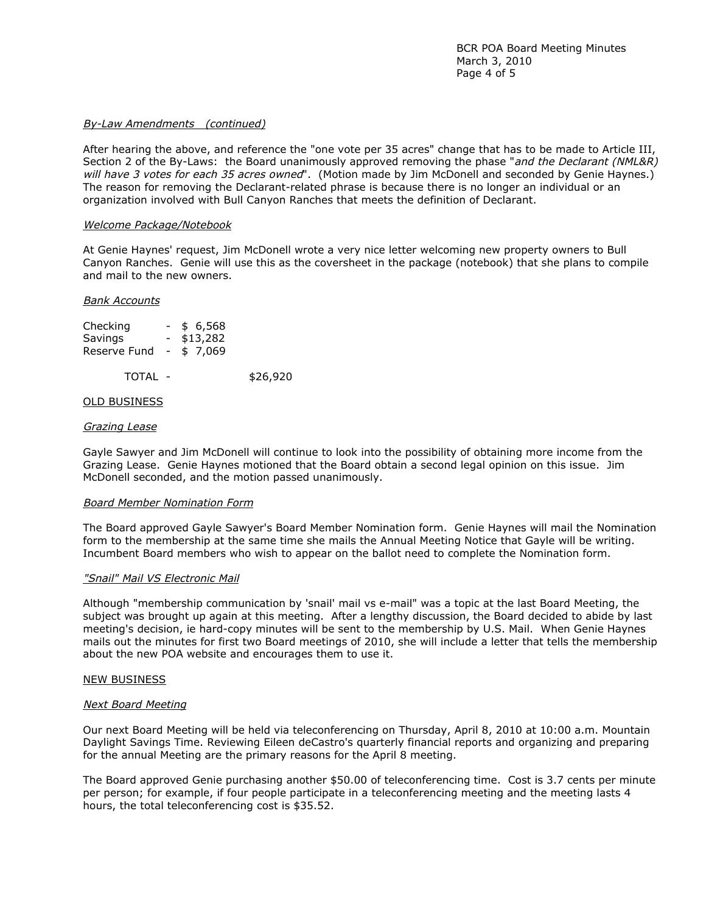# By-Law Amendments (continued)

After hearing the above, and reference the "one vote per 35 acres" change that has to be made to Article III, Section 2 of the By-Laws: the Board unanimously approved removing the phase "and the Declarant (NML&R) will have 3 votes for each 35 acres owned". (Motion made by Jim McDonell and seconded by Genie Haynes.) The reason for removing the Declarant-related phrase is because there is no longer an individual or an organization involved with Bull Canyon Ranches that meets the definition of Declarant.

### Welcome Package/Notebook

At Genie Haynes' request, Jim McDonell wrote a very nice letter welcoming new property owners to Bull Canyon Ranches. Genie will use this as the coversheet in the package (notebook) that she plans to compile and mail to the new owners.

#### Bank Accounts

| Checking                  | \$6,568  |          |
|---------------------------|----------|----------|
| <b>Savings</b>            | \$13,282 |          |
| Reserve Fund $-$ \$ 7,069 |          |          |
| TOTAL -                   |          | \$26,920 |

#### OLD BUSINESS

#### Grazing Lease

Gayle Sawyer and Jim McDonell will continue to look into the possibility of obtaining more income from the Grazing Lease. Genie Haynes motioned that the Board obtain a second legal opinion on this issue. Jim McDonell seconded, and the motion passed unanimously.

#### Board Member Nomination Form

The Board approved Gayle Sawyer's Board Member Nomination form. Genie Haynes will mail the Nomination form to the membership at the same time she mails the Annual Meeting Notice that Gayle will be writing. Incumbent Board members who wish to appear on the ballot need to complete the Nomination form.

#### "Snail" Mail VS Electronic Mail

Although "membership communication by 'snail' mail vs e-mail" was a topic at the last Board Meeting, the subject was brought up again at this meeting. After a lengthy discussion, the Board decided to abide by last meeting's decision, ie hard-copy minutes will be sent to the membership by U.S. Mail. When Genie Haynes mails out the minutes for first two Board meetings of 2010, she will include a letter that tells the membership about the new POA website and encourages them to use it.

### NEW BUSINESS

#### Next Board Meeting

Our next Board Meeting will be held via teleconferencing on Thursday, April 8, 2010 at 10:00 a.m. Mountain Daylight Savings Time. Reviewing Eileen deCastro's quarterly financial reports and organizing and preparing for the annual Meeting are the primary reasons for the April 8 meeting.

The Board approved Genie purchasing another \$50.00 of teleconferencing time. Cost is 3.7 cents per minute per person; for example, if four people participate in a teleconferencing meeting and the meeting lasts 4 hours, the total teleconferencing cost is \$35.52.